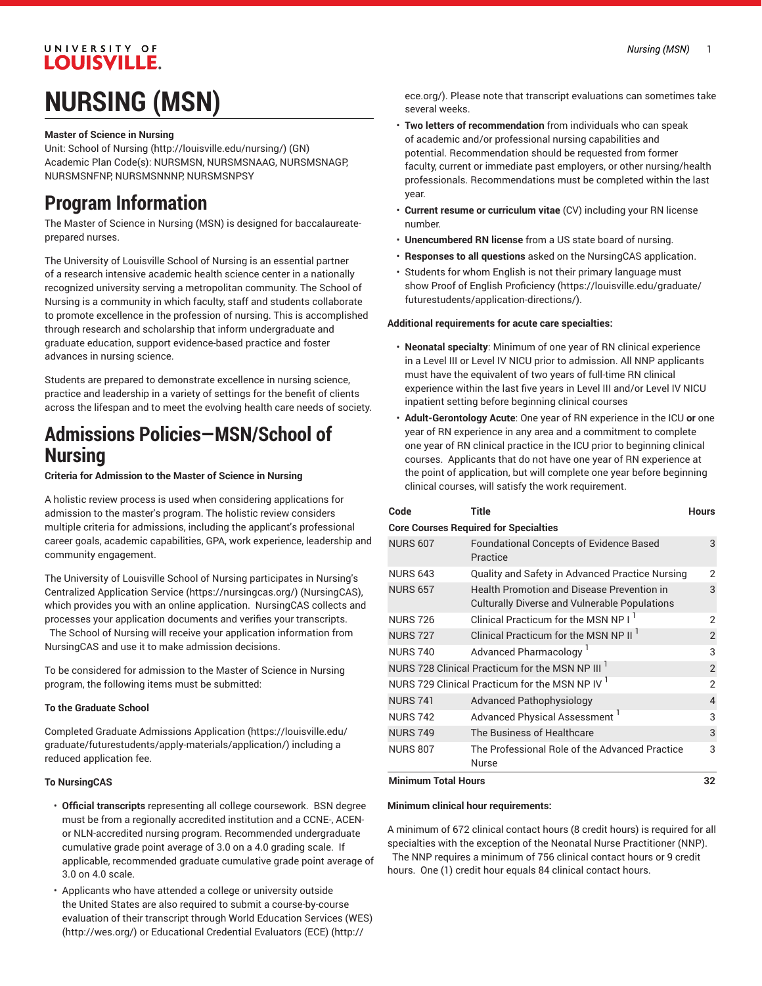### UNIVERSITY OF **LOUISVILLE.**

# **NURSING (MSN)**

#### **Master of Science in Nursing**

Unit: [School of Nursing](http://louisville.edu/nursing/) ([http://louisville.edu/nursing/\)](http://louisville.edu/nursing/) (GN) Academic Plan Code(s): NURSMSN, NURSMSNAAG, NURSMSNAGP, NURSMSNFNP, NURSMSNNNP, NURSMSNPSY

## **Program Information**

The Master of Science in Nursing (MSN) is designed for baccalaureateprepared nurses.

The University of Louisville School of Nursing is an essential partner of a research intensive academic health science center in a nationally recognized university serving a metropolitan community. The School of Nursing is a community in which faculty, staff and students collaborate to promote excellence in the profession of nursing. This is accomplished through research and scholarship that inform undergraduate and graduate education, support evidence-based practice and foster advances in nursing science.

Students are prepared to demonstrate excellence in nursing science, practice and leadership in a variety of settings for the benefit of clients across the lifespan and to meet the evolving health care needs of society.

### **Admissions Policies—MSN/School of Nursing**

**Criteria for Admission to the Master of Science in Nursing** 

A holistic review process is used when considering applications for admission to the master's program. The holistic review considers multiple criteria for admissions, including the applicant's professional career goals, academic capabilities, GPA, work experience, leadership and community engagement.

The University of Louisville School of Nursing participates in [Nursing's](https://nursingcas.org/) Centralized [Application](https://nursingcas.org/) Service [\(https://nursingcas.org/\)](https://nursingcas.org/) (NursingCAS), which provides you with an online application. NursingCAS collects and processes your application documents and verifies your transcripts.

The School of Nursing will receive your application information from NursingCAS and use it to make admission decisions.

To be considered for admission to the Master of Science in Nursing program, the following items must be submitted:

#### **To the Graduate School**

Completed [Graduate Admissions Application](https://louisville.edu/graduate/futurestudents/apply-materials/application/) ([https://louisville.edu/](https://louisville.edu/graduate/futurestudents/apply-materials/application/) [graduate/futurestudents/apply-materials/application/](https://louisville.edu/graduate/futurestudents/apply-materials/application/)) including a reduced application fee.

#### **To NursingCAS**

- **Official transcripts** representing all college coursework. BSN degree must be from a regionally accredited institution and a CCNE-, ACENor NLN-accredited nursing program. Recommended undergraduate cumulative grade point average of 3.0 on a 4.0 grading scale. If applicable, recommended graduate cumulative grade point average of 3.0 on 4.0 scale.
- Applicants who have attended a college or university outside the United States are also required to submit a course-by-course evaluation of their transcript through World [Education](http://wes.org/) Services (WES) ([http://wes.org/\)](http://wes.org/) or [Educational](http://ece.org/) Credential Evaluators (ECE) ([http://](http://ece.org/)

[ece.org/](http://ece.org/)). Please note that transcript evaluations can sometimes take several weeks.

- **Two letters of recommendation** from individuals who can speak of academic and/or professional nursing capabilities and potential. Recommendation should be requested from former faculty, current or immediate past employers, or other nursing/health professionals. Recommendations must be completed within the last year.
- **Current resume or curriculum vitae** (CV) including your RN license number.
- **Unencumbered RN license** from a US state board of nursing.
- **Responses to all questions** asked on the NursingCAS application.
- Students for whom English is not their primary language must show Proof of English [Proficiency](https://louisville.edu/graduate/futurestudents/application-directions/) ([https://louisville.edu/graduate/](https://louisville.edu/graduate/futurestudents/application-directions/) [futurestudents/application-directions/](https://louisville.edu/graduate/futurestudents/application-directions/)).

#### **Additional requirements for acute care specialties:**

- **Neonatal specialty**: Minimum of one year of RN clinical experience in a Level III or Level IV NICU prior to admission. All NNP applicants must have the equivalent of two years of full-time RN clinical experience within the last five years in Level III and/or Level IV NICU inpatient setting before beginning clinical courses
- **Adult-Gerontology Acute**: One year of RN experience in the ICU **or** one year of RN experience in any area and a commitment to complete one year of RN clinical practice in the ICU prior to beginning clinical courses. Applicants that do not have one year of RN experience at the point of application, but will complete one year before beginning clinical courses, will satisfy the work requirement.

| Code                       | Title                                                                                       | <b>Hours</b>   |
|----------------------------|---------------------------------------------------------------------------------------------|----------------|
|                            | <b>Core Courses Required for Specialties</b>                                                |                |
| <b>NURS 607</b>            | <b>Foundational Concepts of Evidence Based</b><br>Practice                                  | 3              |
| <b>NURS 643</b>            | Quality and Safety in Advanced Practice Nursing                                             | 2              |
| <b>NURS 657</b>            | Health Promotion and Disease Prevention in<br>Culturally Diverse and Vulnerable Populations | 3              |
| <b>NURS 726</b>            | Clinical Practicum for the MSN NP I <sup>1</sup>                                            | $\overline{2}$ |
| <b>NURS 727</b>            | Clinical Practicum for the MSN NP II <sup>1</sup>                                           | $\overline{2}$ |
| <b>NURS 740</b>            | Advanced Pharmacology <sup>1</sup>                                                          | 3              |
|                            | NURS 728 Clinical Practicum for the MSN NP III <sup>1</sup>                                 | $\overline{2}$ |
|                            | NURS 729 Clinical Practicum for the MSN NP IV 1                                             | $\overline{2}$ |
| <b>NURS 741</b>            | <b>Advanced Pathophysiology</b>                                                             | 4              |
| <b>NURS 742</b>            | Advanced Physical Assessment <sup>1</sup>                                                   | 3              |
| <b>NURS 749</b>            | The Business of Healthcare                                                                  | 3              |
| <b>NURS 807</b>            | The Professional Role of the Advanced Practice<br>Nurse                                     | 3              |
| <b>Minimum Total Hours</b> |                                                                                             |                |

#### **Minimum clinical hour requirements:**

A minimum of 672 clinical contact hours (8 credit hours) is required for all specialties with the exception of the Neonatal Nurse Practitioner (NNP). The NNP requires a minimum of 756 clinical contact hours or 9 credit hours. One (1) credit hour equals 84 clinical contact hours.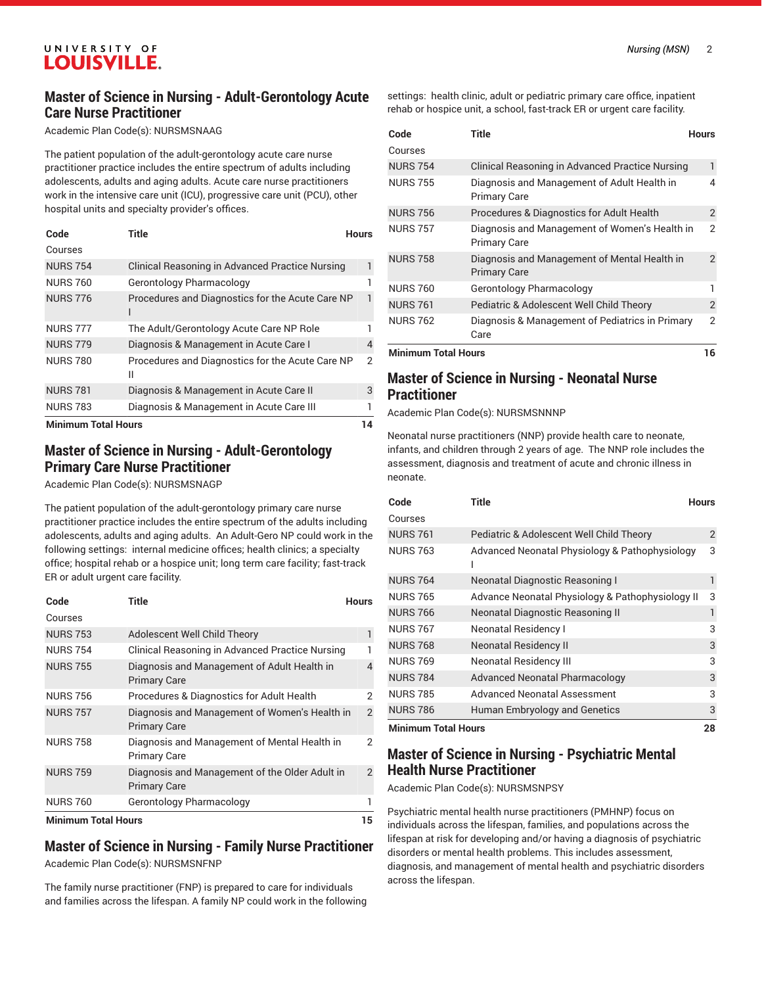#### UNIVERSITY OF **LOUISVILLE.**

#### **Master of Science in Nursing - Adult-Gerontology Acute Care Nurse Practitioner**

Academic Plan Code(s): NURSMSNAAG

The patient population of the adult-gerontology acute care nurse practitioner practice includes the entire spectrum of adults including adolescents, adults and aging adults. Acute care nurse practitioners work in the intensive care unit (ICU), progressive care unit (PCU), other hospital units and specialty provider's offices.

| Code                | <b>Title</b>                                          | <b>Hours</b> |
|---------------------|-------------------------------------------------------|--------------|
| Courses             |                                                       |              |
| <b>NURS 754</b>     | Clinical Reasoning in Advanced Practice Nursing       | 1            |
| <b>NURS 760</b>     | Gerontology Pharmacology                              | ı            |
| <b>NURS 776</b>     | Procedures and Diagnostics for the Acute Care NP      | 1            |
| <b>NURS 777</b>     | The Adult/Gerontology Acute Care NP Role              | 1            |
| <b>NURS 779</b>     | Diagnosis & Management in Acute Care I                | 4            |
| <b>NURS 780</b>     | Procedures and Diagnostics for the Acute Care NP<br>Ш | 2            |
| <b>NURS 781</b>     | Diagnosis & Management in Acute Care II               | 3            |
| <b>NURS 783</b>     | Diagnosis & Management in Acute Care III              | 1            |
| Minimum Total Hours |                                                       | 11           |

**Minimum Total Hours 14**

#### **Master of Science in Nursing - Adult-Gerontology Primary Care Nurse Practitioner**

Academic Plan Code(s): NURSMSNAGP

The patient population of the adult-gerontology primary care nurse practitioner practice includes the entire spectrum of the adults including adolescents, adults and aging adults. An Adult-Gero NP could work in the following settings: internal medicine offices; health clinics; a specialty office; hospital rehab or a hospice unit; long term care facility; fast-track ER or adult urgent care facility.

| Code                       | Title                                                                 | <b>Hours</b>   |
|----------------------------|-----------------------------------------------------------------------|----------------|
| Courses                    |                                                                       |                |
| <b>NURS 753</b>            | Adolescent Well Child Theory                                          | 1              |
| <b>NURS 754</b>            | Clinical Reasoning in Advanced Practice Nursing                       |                |
| <b>NURS 755</b>            | Diagnosis and Management of Adult Health in<br><b>Primary Care</b>    | 4              |
| <b>NURS 756</b>            | Procedures & Diagnostics for Adult Health                             | 2              |
| <b>NURS 757</b>            | Diagnosis and Management of Women's Health in<br><b>Primary Care</b>  | $\mathcal{P}$  |
| <b>NURS 758</b>            | Diagnosis and Management of Mental Health in<br><b>Primary Care</b>   | 2              |
| <b>NURS 759</b>            | Diagnosis and Management of the Older Adult in<br><b>Primary Care</b> | $\overline{2}$ |
| <b>NURS 760</b>            | Gerontology Pharmacology                                              |                |
| <b>Minimum Total Hours</b> |                                                                       | 15             |

#### **Master of Science in Nursing - Family Nurse Practitioner** Academic Plan Code(s): NURSMSNFNP

The family nurse practitioner (FNP) is prepared to care for individuals and families across the lifespan. A family NP could work in the following

settings: health clinic, adult or pediatric primary care office, inpatient rehab or hospice unit, a school, fast-track ER or urgent care facility.

| Code                       | Title                                                                | <b>Hours</b>   |
|----------------------------|----------------------------------------------------------------------|----------------|
| Courses                    |                                                                      |                |
| <b>NURS 754</b>            | Clinical Reasoning in Advanced Practice Nursing                      | 1              |
| <b>NURS 755</b>            | Diagnosis and Management of Adult Health in<br>Primary Care          | 4              |
| <b>NURS 756</b>            | Procedures & Diagnostics for Adult Health                            | $\overline{2}$ |
| <b>NURS 757</b>            | Diagnosis and Management of Women's Health in<br><b>Primary Care</b> | 2              |
| <b>NURS 758</b>            | Diagnosis and Management of Mental Health in<br><b>Primary Care</b>  | $\mathfrak{D}$ |
| <b>NURS 760</b>            | Gerontology Pharmacology                                             |                |
| <b>NURS 761</b>            | Pediatric & Adolescent Well Child Theory                             | $\overline{2}$ |
| <b>NURS 762</b>            | Diagnosis & Management of Pediatrics in Primary<br>Care              | $\overline{2}$ |
| <b>Minimum Total Hours</b> |                                                                      | 16             |

#### **Master of Science in Nursing - Neonatal Nurse Practitioner**

Academic Plan Code(s): NURSMSNNNP

Neonatal nurse practitioners (NNP) provide health care to neonate, infants, and children through 2 years of age. The NNP role includes the assessment, diagnosis and treatment of acute and chronic illness in neonate.

| Code                       | <b>Title</b>                                     | <b>Hours</b> |
|----------------------------|--------------------------------------------------|--------------|
| Courses                    |                                                  |              |
| <b>NURS 761</b>            | Pediatric & Adolescent Well Child Theory         | 2            |
| <b>NURS 763</b>            | Advanced Neonatal Physiology & Pathophysiology   | 3            |
| <b>NURS 764</b>            | Neonatal Diagnostic Reasoning I                  |              |
| <b>NURS 765</b>            | Advance Neonatal Physiology & Pathophysiology II | 3            |
| <b>NURS 766</b>            | Neonatal Diagnostic Reasoning II                 | 1            |
| <b>NURS 767</b>            | <b>Neonatal Residency I</b>                      | 3            |
| <b>NURS 768</b>            | <b>Neonatal Residency II</b>                     | 3            |
| <b>NURS 769</b>            | <b>Neonatal Residency III</b>                    | 3            |
| <b>NURS 784</b>            | <b>Advanced Neonatal Pharmacology</b>            | 3            |
| <b>NURS 785</b>            | Advanced Neonatal Assessment                     | 3            |
| <b>NURS 786</b>            | <b>Human Embryology and Genetics</b>             | 3            |
| <b>Minimum Total Hours</b> |                                                  | 28           |

#### **Master of Science in Nursing - Psychiatric Mental Health Nurse Practitioner**

Academic Plan Code(s): NURSMSNPSY

Psychiatric mental health nurse practitioners (PMHNP) focus on individuals across the lifespan, families, and populations across the lifespan at risk for developing and/or having a diagnosis of psychiatric disorders or mental health problems. This includes assessment, diagnosis, and management of mental health and psychiatric disorders across the lifespan.